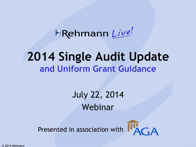**ERehmann** Live!

### **2014 Single Audit Update and Uniform Grant Guidance**

July 22, 2014 Webinar

Presented in association with  $\prod_{A \cap A}$ 



© 2014 Rehmann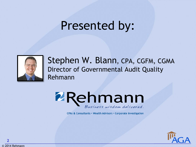## Presented by:



Stephen W. Blann, CPA, CGFM, CGMA Director of Governmental Audit Quality Rehmann



CPAs & Consultants · Wealth Advisors · Corporate Investigation

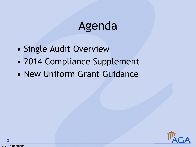## Agenda

- Single Audit Overview
- 2014 Compliance Supplement
- New Uniform Grant Guidance

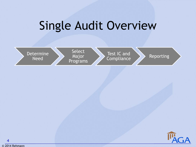

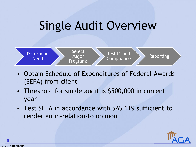

- Obtain Schedule of Expenditures of Federal Awards (SEFA) from client
- Threshold for single audit is \$500,000 in current year
- Test SEFA in accordance with SAS 119 sufficient to render an in-relation-to opinion



© 2014 Rehmann

**5**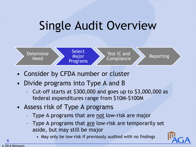

- Consider by CFDA number or cluster
- Divide programs into Type A and B
	- Cut-off starts at \$300,000 and goes up to \$3,000,000 as federal expenditures range from \$10M-\$100M
- Assess risk of Type A programs
	- Type A programs that are not low-risk are major
	- Type A programs that are low-risk are temporarily set aside, but may still be major
		- May only be low-risk if previously audited with no findings



**6**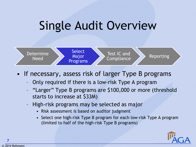

- If necessary, assess risk of larger Type B programs
	- Only required if there is a low-risk Type A program
	- "Larger" Type B programs are \$100,000 or more (threshold starts to increase at \$33M)
	- High-risk programs may be selected as major
		- Risk assessment is based on auditor judgment
		- Select one high-risk Type B program for each low-risk Type A program (limited to half of the high-risk Type B programs)

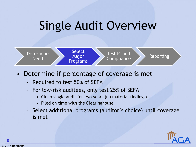

- Determine if percentage of coverage is met
	- Required to test 50% of SEFA
	- For low-risk auditees, only test 25% of SEFA
		- Clean single audit for two years (no material findings)
		- Filed on time with the Clearinghouse
	- Select additional programs (auditor's choice) until coverage is met



**8**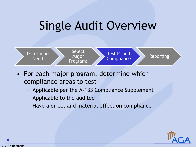

- For each major program, determine which compliance areas to test
	- Applicable per the A-133 Compliance Supplement
	- Applicable to the auditee
	- Have a direct and material effect on compliance



**9**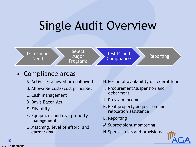

#### • Compliance areas

- A. Activities allowed or unallowed
- B. Allowable costs/cost principles
- C. Cash management
- D.Davis-Bacon Act
- E. Eligibility
- F. Equipment and real property management
- G.Matching, level of effort, and earmarking
- H.Period of availability of federal funds
- I. Procurement/suspension and debarment
- J. Program income
- K. Real property acquisition and relocation assistance
- L. Reporting
- M.Subrecipient monitoring
- N.Special tests and provisions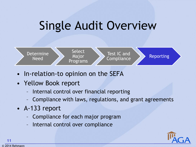

- In-relation-to opinion on the SEFA
- Yellow Book report
	- Internal control over financial reporting
	- Compliance with laws, regulations, and grant agreements
- A-133 report
	- Compliance for each major program
	- Internal control over compliance



© 2014 Rehmann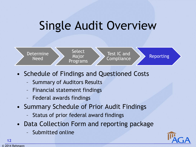

- Schedule of Findings and Questioned Costs
	- Summary of Auditors Results
	- Financial statement findings
	- Federal awards findings
- Summary Schedule of Prior Audit Findings
	- Status of prior federal award findings
- Data Collection Form and reporting package
	- Submitted online



**12**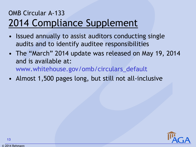#### OMB Circular A-133 2014 Compliance Supplement

- Issued annually to assist auditors conducting single audits and to identify auditee responsibilities
- The "March" 2014 update was released on May 19, 2014 and is available at: www.whitehouse.gov/omb/circulars\_default
- Almost 1,500 pages long, but still not all-inclusive

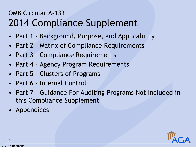#### OMB Circular A-133 2014 Compliance Supplement

- Part 1 Background, Purpose, and Applicability
- Part 2 Matrix of Compliance Requirements
- Part 3 Compliance Requirements
- Part 4 Agency Program Requirements
- Part 5 Clusters of Programs
- Part 6 Internal Control
- Part 7 Guidance For Auditing Programs Not Included in this Compliance Supplement
- **Appendices**

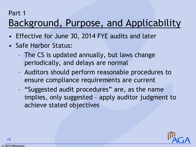#### Part 1

### Background, Purpose, and Applicability

- Effective for June 30, 2014 FYE audits and later
- Safe Harbor Status:
	- The CS is updated annually, but laws change periodically, and delays are normal
	- Auditors should perform reasonable procedures to ensure compliance requirements are current
	- "Suggested audit procedures" are, as the name implies, only suggested – apply auditor judgment to achieve stated objectives

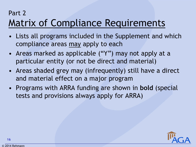#### Part 2

### Matrix of Compliance Requirements

- Lists all programs included in the Supplement and which compliance areas may apply to each
- Areas marked as applicable ("Y") may not apply at a particular entity (or not be direct and material)
- Areas shaded grey may (infrequently) still have a direct and material effect on a major program
- Programs with ARRA funding are shown in **bold** (special tests and provisions always apply for ARRA)

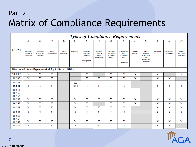#### Part 2 Matrix of Compliance Requirements

|                                                     | <b>Types of Compliance Requirements</b> |                                       |                    |                            |               |                                                 |                                                |                                                  |                                                      |                   |                                                                                  |           |                            |                                           |
|-----------------------------------------------------|-----------------------------------------|---------------------------------------|--------------------|----------------------------|---------------|-------------------------------------------------|------------------------------------------------|--------------------------------------------------|------------------------------------------------------|-------------------|----------------------------------------------------------------------------------|-----------|----------------------------|-------------------------------------------|
|                                                     | $\boldsymbol{A}$                        | В.                                    | $\overline{c}$     | D.                         | E.            | E                                               | G.                                             | Η.                                               | I                                                    | J.                | ĸ                                                                                | L.        | $\overline{M}$             | $N$ **                                    |
| <b>CFDA</b>                                         | Activities<br>Allowed or<br>Unallowed   | Allowable<br>Costs/Cost<br>Principles | Cash<br>Management | Davis-<br><b>Bacon Act</b> | Eligibility   | Equipment<br>and Real<br>Property<br>Management | Matching,<br>Level of<br>Effort,<br>Earmarking | Period of<br>Availability<br>of Federal<br>Funds | Procurement<br>and<br>Suspension<br>and<br>Debarment | Program<br>Income | Real<br>Property<br><b>Acquisition</b><br>and<br>Relocation<br><b>Assistance</b> | Reporting | Subrecipient<br>Monitoring | <b>Special</b><br>Tests and<br>Provisions |
| 10 - United States Department of Agriculture (USDA) |                                         |                                       |                    |                            |               |                                                 |                                                |                                                  |                                                      |                   |                                                                                  |           |                            |                                           |
| 10.000*                                             | Y                                       | Y                                     | Y                  |                            |               | Y                                               |                                                | Y                                                | Y                                                    | Y                 |                                                                                  | Υ         |                            | Y                                         |
| 10.500                                              | Y                                       | Y                                     | Y                  |                            |               | Y                                               | Y                                              | Y                                                | Y                                                    | Y                 |                                                                                  | Y         | Y                          |                                           |
| 10.551<br>10.561                                    | Y                                       | Y                                     | Y                  |                            | See<br>Part 4 | Υ                                               | Y                                              | Y                                                | Y                                                    |                   |                                                                                  | Y         | Y                          | Y                                         |
| 10.553<br>10.555<br>10.556                          |                                         |                                       |                    |                            |               |                                                 |                                                |                                                  |                                                      |                   |                                                                                  |           |                            |                                           |
| 10.559                                              | Y                                       | Y                                     | Y                  |                            | Y             | Y                                               | Y                                              | Y                                                | Y                                                    | Y                 |                                                                                  | Y         | Y                          | Y                                         |
| 10.557                                              | Y                                       | Υ                                     | Y                  |                            | Y             | Y                                               |                                                | Y                                                | Y                                                    | Y                 |                                                                                  | Y         | Y                          | Y                                         |
| 10.558                                              | Y                                       | Y                                     | Y                  |                            | Y             | Y                                               | Y                                              | Y                                                | Y                                                    |                   |                                                                                  | Y         | Y                          | Y                                         |
| 10.566                                              | Y                                       | Y                                     | Y                  |                            | Y             | Y                                               | Y                                              | Y                                                | Y                                                    |                   |                                                                                  | Y         | Y                          | Y                                         |
| 10.565<br>10.568<br>10.569                          | Y                                       | Y                                     | Y                  |                            | Y             | Y                                               | Y                                              | Y                                                | Y                                                    |                   |                                                                                  | Y         | Y                          | Y                                         |
| 10.582                                              | Y                                       | Y                                     | Y                  |                            | Y             | Y                                               | Y                                              | Y                                                | Y                                                    |                   |                                                                                  | Y         | Y                          |                                           |

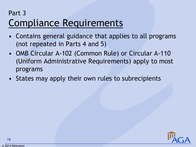### Part 3 Compliance Requirements

- Contains general guidance that applies to all programs (not repeated in Parts 4 and 5)
- OMB Circular A-102 (Common Rule) or Circular A-110 (Uniform Administrative Requirements) apply to most programs
- States may apply their own rules to subrecipients

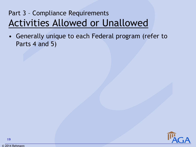### Part 3 – Compliance Requirements Activities Allowed or Unallowed

• Generally unique to each Federal program (refer to Parts 4 and 5)



© 2014 Rehmann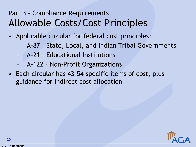#### Part 3 – Compliance Requirements Allowable Costs/Cost Principles

- Applicable circular for federal cost principles:
	- A-87 State, Local, and Indian Tribal Governments
	- A-21 Educational Institutions
	- A-122 Non-Profit Organizations
- Each circular has 43-54 specific items of cost, plus guidance for indirect cost allocation

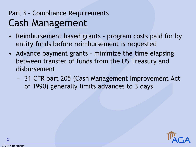#### Part 3 – Compliance Requirements Cash Management

- Reimbursement based grants program costs paid for by entity funds before reimbursement is requested
- Advance payment grants minimize the time elapsing between transfer of funds from the US Treasury and disbursement
	- 31 CFR part 205 (Cash Management Improvement Act of 1990) generally limits advances to 3 days

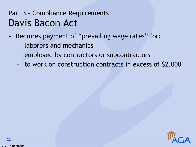### Part 3 – Compliance Requirements Davis Bacon Act

- Requires payment of "prevailing wage rates" for:
	- laborers and mechanics
	- employed by contractors or subcontractors
	- to work on construction contracts in excess of \$2,000

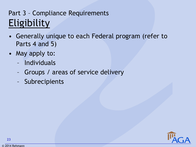### Part 3 – Compliance Requirements Eligibility

- Generally unique to each Federal program (refer to Parts 4 and 5)
- May apply to:
	- Individuals
	- Groups / areas of service delivery
	- Subrecipients

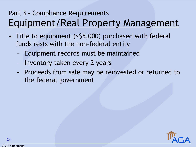### Part 3 – Compliance Requirements Equipment/Real Property Management

- Title to equipment (>\$5,000) purchased with federal funds rests with the non-federal entity
	- Equipment records must be maintained
	- Inventory taken every 2 years
	- Proceeds from sale may be reinvested or returned to the federal government

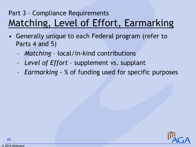### Part 3 – Compliance Requirements Matching, Level of Effort, Earmarking

- Generally unique to each Federal program (refer to Parts 4 and 5)
	- *Matching* local/in-kind contributions
	- *Level of Effort*  supplement vs. supplant
	- *Earmarking* % of funding used for specific purposes

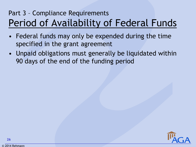#### Part 3 – Compliance Requirements Period of Availability of Federal Funds

- Federal funds may only be expended during the time specified in the grant agreement
- Unpaid obligations must generally be liquidated within 90 days of the end of the funding period



© 2014 Rehmann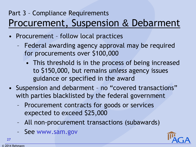#### Part 3 – Compliance Requirements Procurement, Suspension & Debarment

- Procurement follow local practices
	- Federal awarding agency approval may be required for procurements over \$100,000
		- This threshold is in the process of being increased to \$150,000, but remains *unless* agency issues guidance or specified in the award
- Suspension and debarment no "covered transactions" with parties blacklisted by the federal government
	- Procurement contracts for goods or services expected to exceed \$25,000
	- All non-procurement transactions (subawards)
	- See www.sam.gov

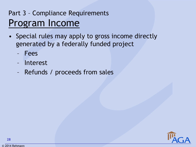#### Part 3 – Compliance Requirements Program Income

- Special rules may apply to gross income directly generated by a federally funded project
	- Fees
	- Interest
	- Refunds / proceeds from sales

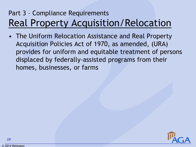#### Part 3 – Compliance Requirements Real Property Acquisition/Relocation

• The Uniform Relocation Assistance and Real Property Acquisition Policies Act of 1970, as amended, (URA) provides for uniform and equitable treatment of persons displaced by federally-assisted programs from their homes, businesses, or farms



© 2014 Rehmann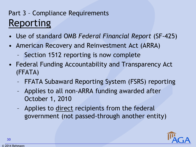### Part 3 – Compliance Requirements Reporting

- Use of standard OMB *Federal Financial Report* (SF-425)
- American Recovery and Reinvestment Act (ARRA)
	- Section 1512 reporting is now complete
- Federal Funding Accountability and Transparency Act (FFATA)
	- FFATA Subaward Reporting System (FSRS) reporting
	- Applies to all non-ARRA funding awarded after October 1, 2010
	- Applies to direct recipients from the federal government (not passed-through another entity)

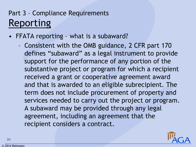### Part 3 – Compliance Requirements Reporting

- FFATA reporting what is a subaward?
	- Consistent with the OMB guidance, 2 CFR part 170 defines "subaward" as a legal instrument to provide support for the performance of any portion of the substantive project or program for which a recipient received a grant or cooperative agreement award and that is awarded to an eligible subrecipient. The term does not include procurement of property and services needed to carry out the project or program. A subaward may be provided through any legal agreement, including an agreement that the recipient considers a contract.

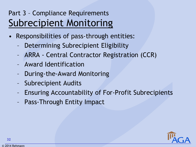#### Part 3 – Compliance Requirements Subrecipient Monitoring

- Responsibilities of pass-through entities:
	- Determining Subrecipient Eligibility
	- ARRA Central Contractor Registration (CCR)
	- Award Identification
	- During-the-Award Monitoring
	- Subrecipient Audits
	- Ensuring Accountability of For-Profit Subrecipients
	- Pass-Through Entity Impact

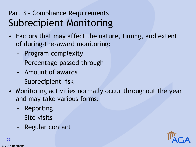#### Part 3 – Compliance Requirements Subrecipient Monitoring

- Factors that may affect the nature, timing, and extent of during-the-award monitoring:
	- Program complexity
	- Percentage passed through
	- Amount of awards
	- Subrecipient risk
- Monitoring activities normally occur throughout the year and may take various forms:
	- Reporting
	- Site visits
	- Regular contact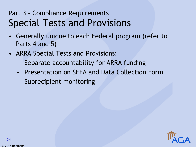#### Part 3 – Compliance Requirements Special Tests and Provisions

- Generally unique to each Federal program (refer to Parts 4 and 5)
- ARRA Special Tests and Provisions:
	- Separate accountability for ARRA funding
	- Presentation on SEFA and Data Collection Form
	- Subrecipient monitoring

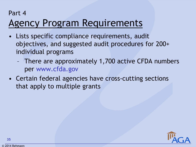#### Part 4

### Agency Program Requirements

- Lists specific compliance requirements, audit objectives, and suggested audit procedures for 200+ individual programs
	- There are approximately 1,700 active CFDA numbers per www.cfda.gov
- Certain federal agencies have cross-cutting sections that apply to multiple grants

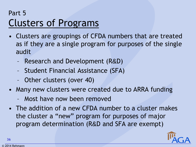#### Part 5 Clusters of Programs

- Clusters are groupings of CFDA numbers that are treated as if they are a single program for purposes of the single audit
	- Research and Development (R&D)
	- Student Financial Assistance (SFA)
	- Other clusters (over 40)
- Many new clusters were created due to ARRA funding
	- Most have now been removed
- The addition of a new CFDA number to a cluster makes the cluster a "new" program for purposes of major program determination (R&D and SFA are exempt)

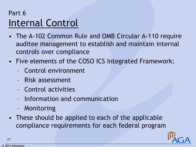### Part 6 Internal Control

- The A-102 Common Rule and OMB Circular A-110 require auditee management to establish and maintain internal controls over compliance
- Five elements of the COSO ICS Integrated Framework:
	- Control environment
	- Risk assessment
	- Control activities
	- Information and communication
	- Monitoring
- These should be applied to each of the applicable compliance requirements for each federal program

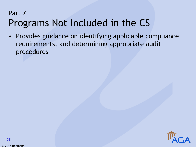### Part 7 Programs Not Included in the CS

• Provides guidance on identifying applicable compliance requirements, and determining appropriate audit procedures



© 2014 Rehmann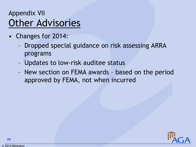### Appendix VII Other Advisories

- Changes for 2014:
	- Dropped special guidance on risk assessing ARRA programs
	- Updates to low-risk auditee status
	- New section on FEMA awards based on the period approved by FEMA, not when incurred

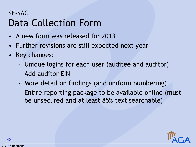### SF-SAC Data Collection Form

- A new form was released for 2013
- Further revisions are still expected next year
- Key changes:
	- Unique logins for each user (auditee and auditor)
	- Add auditor EIN
	- More detail on findings (and uniform numbering)
	- Entire reporting package to be available online (must be unsecured and at least 85% text searchable)

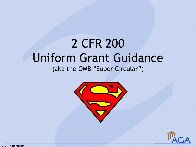# 2 CFR 200 Uniform Grant Guidance

(aka the OMB "Super Circular")



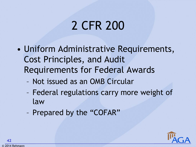# 2 CFR 200

- Uniform Administrative Requirements, Cost Principles, and Audit Requirements for Federal Awards
	- Not issued as an OMB Circular
	- Federal regulations carry more weight of law
	- Prepared by the "COFAR"

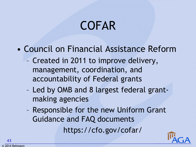# COFAR

- Council on Financial Assistance Reform
	- Created in 2011 to improve delivery, management, coordination, and accountability of Federal grants
	- Led by OMB and 8 largest federal grantmaking agencies
	- Responsible for the new Uniform Grant Guidance and FAQ documents https://cfo.gov/cofar/

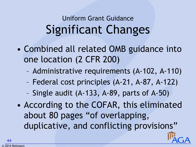# Uniform Grant Guidance Significant Changes

- Combined all related OMB guidance into one location (2 CFR 200)
	- Administrative requirements (A-102, A-110)
	- Federal cost principles (A-21, A-87, A-122)
	- Single audit (A-133, A-89, parts of A-50)
- According to the COFAR, this eliminated about 80 pages "of overlapping, duplicative, and conflicting provisions"

**44**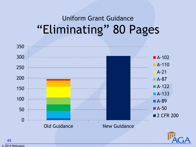# Uniform Grant Guidance "Eliminating" 80 Pages



© 2014 Rehmann

**45**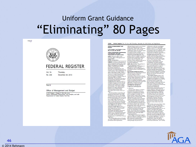## Uniform Grant Guidance "Eliminating" 80 Pages

 $max<sub>f</sub>$ 



#### **FEDERAL REGISTER**

**Vol. 78** Thursday. No. 248

December 26, 2013

#### Part III

#### Office of Management and Budget

2 CFR Chapter I, Chapter II, Part 200, et al. Uniform Administrative Requirements, Cost Principles, and Audit Requirements for Federal Awards: Final Rule

78590 Federal Register / Vol. 78, No. 248 / Thursday, December 26, 2013 / Rules and Regulations

OFFICE OF MANAGEMENT AND 2 CFR Chapter I, and Chapter II, Parts<br>200, 215, 220, 225, and 230 **Uniform Administrative Requirement Cost Principles, and Audit** 

**Regulrements for Federal Awards** AGENCY: Executive Office of the President, Office of Management and **Budget (OMB) ACTION:** Final quidance.

**SUMMARY:** To deliver on the promise of<br>a 21st-Century government that is more<br>efficient, effective and transparent, the<br>Office of Management and Budget<br>(OMB) is streamlining the Federal government's guidance on government s gundance on<br>Administrative Requirements, Cost<br>Principles, and Audit Requirements for<br>Federal awards. These modifications are a key component of a larger Federal<br>effort to more effectively focus Federal<br>resources on improving performance and outcomes while ensuring the financial integrity of taxpayer dollars in manusar magnety or axpayer donars in<br>stakeholders. This guidance provides a<br>governmentwide framework for grants governmentwhich will be<br>management which will be<br>complemented by additional efforts to<br>strengthen program outcomes through<br>innovative and effective use of grantmaking models, performance metrics, maxim guidance materials and evaluation. This reform of OMB,<br>guidance will reduce administrative<br>burden for non-Federal entities receiving Federal awards while educing the risk of waste, fraud and

superseded by this guidance are<br>available on OMB's Web site at http:// www.whitehouse.gov/omb/circulars\_<br>default/. The final guidance<br>consolidates the guidance previously contained in the aforementioned contained format that<br>aims to improve both the clarity and<br>accessibility. This final guidance is

This final guidance does not broaden<br>the scope of applicability from existing government-wide requirements,

affecting Federal awards to non-Federal ontities including state and local ontius incutum gate and iocal<br>governments, Indian tribas, institutions<br>of higher education, and nonprofit<br>organizations. Parts of it may also apply to for-profit entities in limited tances and to foreign entities as circumstances and to foreign entities as<br>described in this guidance and the<br>Federal Acquisition Regulation. This  $\label{eq:1} \begin{minipage}{0.9\textwidth} \begin{minipage}{0.9\textwidth} \begin{tabular}{p{0.9\textwidth}p{0.9\textwidth}p{0.9\textwidth}p{0.9\textwidth}p{0.9\textwidth}p{0.9\textwidth}p{0.9\textwidth}p{0.9\textwidth}p{0.9\textwidth}p{0.9\textwidth}p{0.9\textwidth}p{0.9\textwidth}p{0.9\textwidth}p{0.9\textwidth}p{0.9\textwidth}p{0.9\textwidth}p{0.9\textwidth}p{0.9\textwidth}p{0.9\textwidth}p{0.9\textwidth$ guidance does not supersede any<br>existing or future authority under law or by executive order or the Federal<br>Acquisition Regulation. DATES: Effective Date: This guidance is offective December 26, 2013.<br>Applicability Date: This guidance is<br>Applicability Date: This guidance is<br>pplicable for Federal agencies<br>December 26, 2013 and applicable for non-Federal entities as described in this

**EXERCISE INFORMATION CONTACT:**<br>COR FURTHER INFORMATION CONTACT:<br>With the Council on Financial Assistance Reform and key stakoholders. Please visit www.cfo.gov/  $\begin{minipage}{0.9\textwidth} \begin{minipage}{0.9\textwidth} \begin{minipage}{0.9\textwidth} \begin{minipage}{0.9\textwidth} \begin{minipage}{0.9\textwidth} \begin{minipage}{0.9\textwidth} \begin{minipage}{0.9\textwidth} \begin{minipage}{0.9\textwidth} \begin{minipage}{0.9\textwidth} \begin{minipage}{0.9\textwidth} \begin{minipage}{0.9\textwidth} \begin{minipage}{0.9\textwidth} \begin{minipage}{0.9\textwidth} \begin{minipage}{0.9\textwidth} \begin{minipage}{0.9\textwidth} \begin{minipage}{0.9$ 

#### **I. Objectives and Background** A. Objectives

guidance.

The goal of this reform is to deliver<br>on the President's directives to (1) Next<br/>iverg Seasona awards within a main goal of this positive relations to desire<br/>with the main gradient of the state of the state of the state of the<br/>state of the state of the state of the state of the state for the painting of the state of the state of the state of the state of the state of the state of the state and in the state of the state of the David State and Human Services results and local and Human Services results 07 0001 and average of Federal and the state of  $p/dt/2001-1305$ ,  $p/dt/2001-1305$ ,  $p/dt/201$ , and  $p/dt/201$  respectively. The overald algorithm requirements for financial management impose the lead burden to reduce the req Federal government.<br>These reforms complement targeted located in Trishe of the Dode of Poderal of form in the state of the state of the multiple propositions. To the<br>Regulations: To the Odde of Poderal of Species to reform overall approaches to it is important that Poderal ag making dosigns and processes in

collaboration with their non-Federal partners, in accordance with OMB guidance in M-13-17 "Next Steps in the<br>Evidence and Innovation Agenda". This now guidance plays an important role in fostering these and other innovative models and cost-effective approaches by<br>including many provisions that<br>strengthen requirements for internal concident process with the flaxibility for non-Federal entities.<br>These provisions include mechanisms<br>such as "fixed amount awards" which roly more on performance than Formulation requirements to ensure<br>accountability, and allow Federal<br>agencies some additional flexibility to<br>waive some requirements (in addition to who longstanding option to apply to<br>OMB to waive requirements) that<br>impede their capacity to achieve better<br>outcomes through Federal awards. This guidance will provide a backbone for sound financial management as Federal<br>agencies and their partners continue to<br>develop and advance innovative and offective practices.<br>This reform of OMB guidance will

coffer further information on the image<br>map and data of the theorem is a manipulated and data of the webcast and on the<br> $$\rm mm$  management and operation of Poletical Council on Financial Assistance bases for Folecard dollar time spent complying with<br>unnecessarily burdensome unnocessarity outconsionnel<br>administrative neutronents, and so re-<br>orients recipients toward achieving<br>program objectives. Through close and<br>sustained collaboration with Federal and non-Foderal partners, OMB has<br>doveloped ideas that will ensure that<br>discrutionary grants and cooperative agreements are awarded based on merit;<br>that management increases focus on performance outcomes; that rules<br>governing the allocation of Federal<br>funds are streamlined, and that the Single Audit oversight tool is better focused to reduce waste, fraud, and

governments, Indian tribos, institutions of Bannary 18, 2011, on Improving a<br>space of higher education, nonprofit and Ragalation and Ragalatory Review (76 optical<br>for a shall continuously FR 3021; January 21, 2011; After taking into account, among other things,<br>and to the extent practicable, the costs excessively burdensome," and "modify,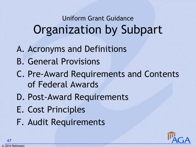# Uniform Grant Guidance Organization by Subpart

- A. Acronyms and Definitions
- B. General Provisions
- C. Pre-Award Requirements and Contents of Federal Awards
- D. Post-Award Requirements
- E. Cost Principles
- F. Audit Requirements

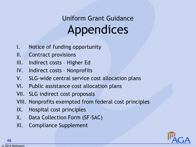# Uniform Grant Guidance Appendices

- I. Notice of funding opportunity
- II. Contract provisions
- III. Indirect costs Higher Ed
- IV. Indirect costs Nonprofits
- V. SLG-wide central service cost allocation plans
- VI. Public assistance cost allocation plans
- VII. SLG indirect cost proposals
- VIII. Nonprofits exempted from federal cost principles
- IX. Hospital cost principles
- X. Data Collection Form (SF-SAC)
- XI. Compliance Supplement

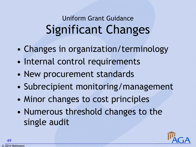# Uniform Grant Guidance Significant Changes

- Changes in organization/terminology
- Internal control requirements
- New procurement standards
- Subrecipient monitoring/management
- Minor changes to cost principles
- Numerous threshold changes to the single audit

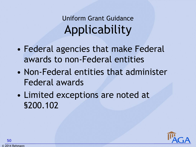# Uniform Grant Guidance Applicability

- Federal agencies that make Federal awards to non-Federal entities
- Non-Federal entities that administer Federal awards
- Limited exceptions are noted at §200.102

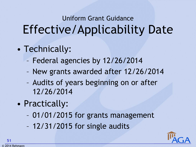# Uniform Grant Guidance Effective/Applicability Date

- Technically:
	- Federal agencies by 12/26/2014
	- New grants awarded after 12/26/2014
	- Audits of years beginning on or after 12/26/2014
- Practically:
	- 01/01/2015 for grants management
	- 12/31/2015 for single audits

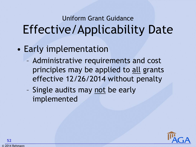# Uniform Grant Guidance Effective/Applicability Date

- Early implementation
	- Administrative requirements and cost principles may be applied to all grants effective 12/26/2014 without penalty
	- Single audits may not be early implemented



© 2014 Rehmann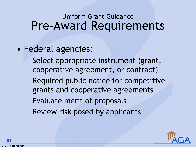- Federal agencies:
	- Select appropriate instrument (grant, cooperative agreement, or contract)
	- Required public notice for competitive grants and cooperative agreements
	- Evaluate merit of proposals
	- Review risk posed by applicants

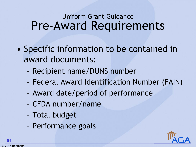- Specific information to be contained in award documents:
	- Recipient name/DUNS number
	- Federal Award Identification Number (FAIN)
	- Award date/period of performance
	- CFDA number/name
	- Total budget
	- Performance goals

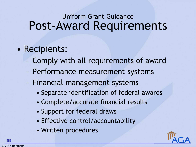- Recipients:
	- Comply with all requirements of award
	- Performance measurement systems
	- Financial management systems
		- Separate identification of federal awards
		- Complete/accurate financial results
		- Support for federal draws
		- Effective control/accountability
		- Written procedures

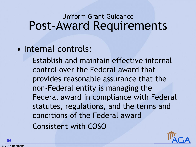- Internal controls:
	- Establish and maintain effective internal control over the Federal award that provides reasonable assurance that the non-Federal entity is managing the Federal award in compliance with Federal statutes, regulations, and the terms and conditions of the Federal award
	- Consistent with COSO

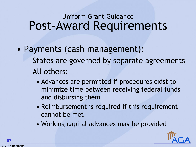- Payments (cash management):
	- States are governed by separate agreements
	- All others:
		- Advances are permitted if procedures exist to minimize time between receiving federal funds and disbursing them
		- Reimbursement is required if this requirement cannot be met
		- Working capital advances may be provided

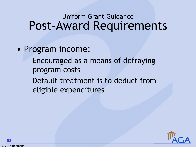- Program income:
	- Encouraged as a means of defraying program costs
	- Default treatment is to deduct from eligible expenditures

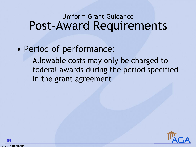- Period of performance:
	- Allowable costs may only be charged to federal awards during the period specified in the grant agreement

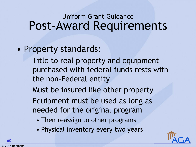- Property standards:
	- Title to real property and equipment purchased with federal funds rests with the non-Federal entity
	- Must be insured like other property
	- Equipment must be used as long as needed for the original program
		- Then reassign to other programs
		- Physical inventory every two years

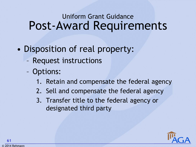- Disposition of real property:
	- Request instructions
	- Options:
		- 1. Retain and compensate the federal agency
		- 2. Sell and compensate the federal agency
		- 3. Transfer title to the federal agency or designated third party

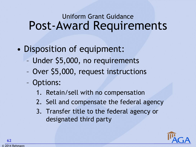- Disposition of equipment:
	- Under \$5,000, no requirements
	- Over \$5,000, request instructions
	- Options:
		- 1. Retain/sell with no compensation
		- 2. Sell and compensate the federal agency
		- 3. Transfer title to the federal agency or designated third party

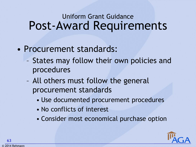- Procurement standards:
	- States may follow their own policies and procedures
	- All others must follow the general procurement standards
		- Use documented procurement procedures
		- No conflicts of interest
		- Consider most economical purchase option

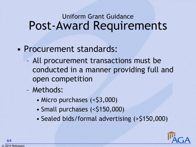- Procurement standards:
	- All procurement transactions must be conducted in a manner providing full and open competition
	- Methods:
		- Micro purchases (<\$3,000)
		- Small purchases (<\$150,000)
		- Sealed bids/formal advertising (>\$150,000)

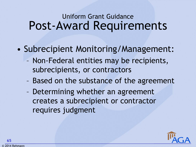- Subrecipient Monitoring/Management:
	- Non-Federal entities may be recipients, subrecipients, or contractors
	- Based on the substance of the agreement
	- Determining whether an agreement creates a subrecipient or contractor requires judgment

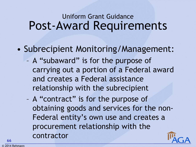- Subrecipient Monitoring/Management:
	- A "subaward" is for the purpose of carrying out a portion of a Federal award and creates a Federal assistance relationship with the subrecipient
	- A "contract" is for the purpose of obtaining goods and services for the non-Federal entity's own use and creates a procurement relationship with the contractor

**66**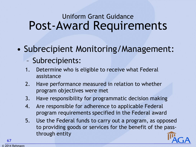• Subrecipient Monitoring/Management:

- Subrecipients:
- 1. Determine who is eligible to receive what Federal assistance
- 2. Have performance measured in relation to whether program objectives were met
- 3. Have responsibility for programmatic decision making
- 4. Are responsible for adherence to applicable Federal program requirements specified in the Federal award
- 5. Use the Federal funds to carry out a program, as opposed to providing goods or services for the benefit of the passthrough entity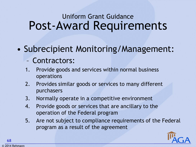• Subrecipient Monitoring/Management:

#### – Contractors:

- 1. Provide goods and services within normal business operations
- 2. Provides similar goods or services to many different purchasers
- 3. Normally operate in a competitive environment
- 4. Provide goods or services that are ancillary to the operation of the Federal program
- 5. Are not subject to compliance requirements of the Federal program as a result of the agreement

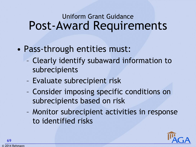- Pass-through entities must:
	- Clearly identify subaward information to subrecipients
	- Evaluate subrecipient risk
	- Consider imposing specific conditions on subrecipients based on risk
	- Monitor subrecipient activities in response to identified risks

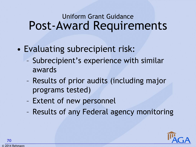- Evaluating subrecipient risk:
	- Subrecipient's experience with similar awards
	- Results of prior audits (including major programs tested)
	- Extent of new personnel
	- Results of any Federal agency monitoring

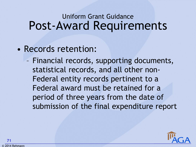- Records retention:
	- Financial records, supporting documents, statistical records, and all other non-Federal entity records pertinent to a Federal award must be retained for a period of three years from the date of submission of the final expenditure report

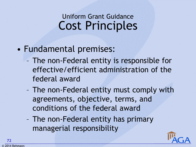### Cost Principles Uniform Grant Guidance

#### • Fundamental premises:

- The non-Federal entity is responsible for effective/efficient administration of the federal award
- The non-Federal entity must comply with agreements, objective, terms, and conditions of the federal award
- The non-Federal entity has primary managerial responsibility

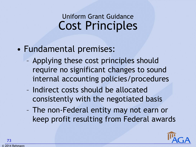- Fundamental premises:
	- Applying these cost principles should require no significant changes to sound internal accounting policies/procedures
	- Indirect costs should be allocated consistently with the negotiated basis
	- The non-Federal entity may not earn or keep profit resulting from Federal awards

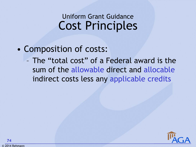#### • Composition of costs:

– The "total cost" of a Federal award is the sum of the allowable direct and allocable indirect costs less any applicable credits

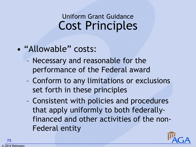- "Allowable" costs:
	- Necessary and reasonable for the performance of the Federal award
	- Conform to any limitations or exclusions set forth in these principles
	- Consistent with policies and procedures that apply uniformly to both federallyfinanced and other activities of the non-Federal entity

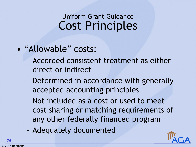- "Allowable" costs:
	- Accorded consistent treatment as either direct or indirect
	- Determined in accordance with generally accepted accounting principles
	- Not included as a cost or used to meet cost sharing or matching requirements of any other federally financed program
	- Adequately documented

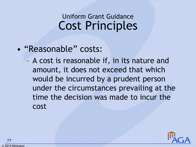#### • "Reasonable" costs:

– A cost is reasonable if, in its nature and amount, it does not exceed that which would be incurred by a prudent person under the circumstances prevailing at the time the decision was made to incur the cost

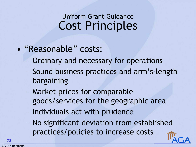- "Reasonable" costs:
	- Ordinary and necessary for operations
	- Sound business practices and arm's-length bargaining
	- Market prices for comparable goods/services for the geographic area
	- Individuals act with prudence
	- No significant deviation from established practices/policies to increase costs

**78**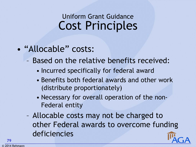- "Allocable" costs:
	- Based on the relative benefits received:
		- Incurred specifically for federal award
		- Benefits both federal awards and other work (distribute proportionately)
		- Necessary for overall operation of the non-Federal entity
	- Allocable costs may not be charged to other Federal awards to overcome funding deficiencies

**79**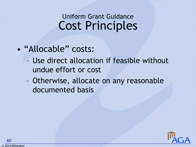- "Allocable" costs:
	- Use direct allocation if feasible without undue effort or cost
	- Otherwise, allocate on any reasonable documented basis



© 2014 Rehmann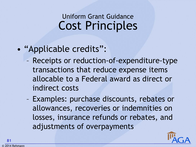#### • "Applicable credits":

- Receipts or reduction-of-expenditure-type transactions that reduce expense items allocable to a Federal award as direct or indirect costs
- Examples: purchase discounts, rebates or allowances, recoveries or indemnities on losses, insurance refunds or rebates, and adjustments of overpayments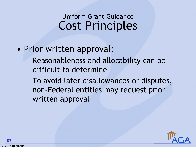- Prior written approval:
	- Reasonableness and allocability can be difficult to determine
	- To avoid later disallowances or disputes, non-Federal entities may request prior written approval

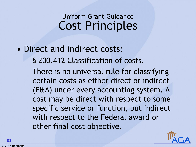- Direct and indirect costs:
	- § 200.412 Classification of costs.

There is no universal rule for classifying certain costs as either direct or indirect (F&A) under every accounting system. A cost may be direct with respect to some specific service or function, but indirect with respect to the Federal award or other final cost objective.

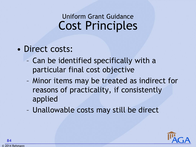- Direct costs:
	- Can be identified specifically with a particular final cost objective
	- Minor items may be treated as indirect for reasons of practicality, if consistently applied
	- Unallowable costs may still be direct

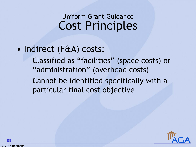- Indirect (F&A) costs:
	- Classified as "facilities" (space costs) or "administration" (overhead costs)
	- Cannot be identified specifically with a particular final cost objective

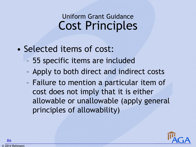- Selected items of cost:
	- 55 specific items are included
	- Apply to both direct and indirect costs
	- Failure to mention a particular item of cost does not imply that it is either allowable or unallowable (apply general principles of allowability)

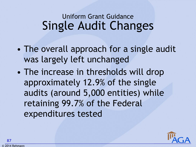- The overall approach for a single audit was largely left unchanged
- The increase in thresholds will drop approximately 12.9% of the single audits (around 5,000 entities) while retaining 99.7% of the Federal expenditures tested

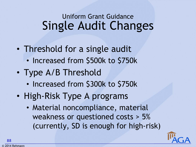- Threshold for a single audit
	- Increased from \$500k to \$750k
- Type A/B Threshold
	- Increased from \$300k to \$750k
- High-Risk Type A programs
	- Material noncompliance, material weakness or questioned costs > 5% (currently, SD is enough for high-risk)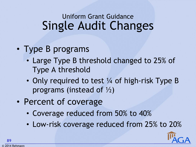- Type B programs
	- Large Type B threshold changed to 25% of Type A threshold
	- Only required to test 1/4 of high-risk Type B programs (instead of ½)
- Percent of coverage
	- Coverage reduced from 50% to 40%
	- Low-risk coverage reduced from 25% to 20%

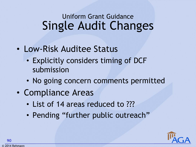- Low-Risk Auditee Status
	- Explicitly considers timing of DCF submission
	- No going concern comments permitted
- Compliance Areas
	- List of 14 areas reduced to ???
	- Pending "further public outreach"

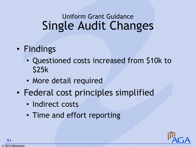- Findings
	- Questioned costs increased from \$10k to \$25k
	- More detail required
- Federal cost principles simplified
	- Indirect costs
	- Time and effort reporting

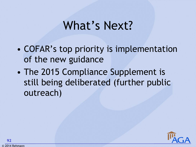## What's Next?

- COFAR's top priority is implementation of the new guidance
- The 2015 Compliance Supplement is still being deliberated (further public outreach)

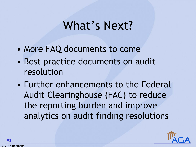# What's Next?

- More FAQ documents to come
- Best practice documents on audit resolution
- Further enhancements to the Federal Audit Clearinghouse (FAC) to reduce the reporting burden and improve analytics on audit finding resolutions



**93**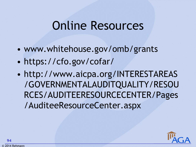## Online Resources

- www.whitehouse.gov/omb/grants
- https://cfo.gov/cofar/
- http://www.aicpa.org/INTERESTAREAS /GOVERNMENTALAUDITQUALITY/RESOU RCES/AUDITEERESOURCECENTER/Pages /AuditeeResourceCenter.aspx



© 2014 Rehmann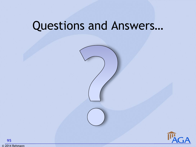# Questions and Answers…